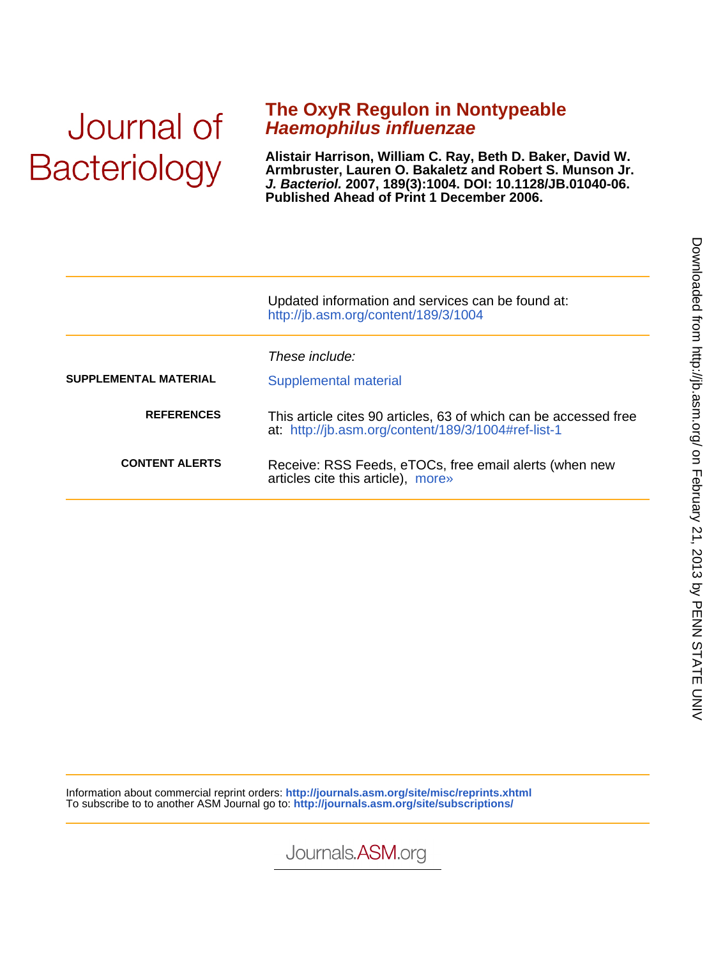# Journal of **Bacteriology**

### **Haemophilus influenzae The OxyR Regulon in Nontypeable**

**Published Ahead of Print 1 December 2006. J. Bacteriol. 2007, 189(3):1004. DOI: 10.1128/JB.01040-06. Armbruster, Lauren O. Bakaletz and Robert S. Munson Jr. Alistair Harrison, William C. Ray, Beth D. Baker, David W.**

|                       | Updated information and services can be found at:<br>http://jb.asm.org/content/189/3/1004                               |
|-----------------------|-------------------------------------------------------------------------------------------------------------------------|
| SUPPLEMENTAL MATERIAL | These include:<br>Supplemental material                                                                                 |
| <b>REFERENCES</b>     | This article cites 90 articles, 63 of which can be accessed free<br>at: http://jb.asm.org/content/189/3/1004#ref-list-1 |
| <b>CONTENT ALERTS</b> | Receive: RSS Feeds, eTOCs, free email alerts (when new<br>articles cite this article), more»                            |

Information about commercial reprint orders: **http://journals.asm.org/site/misc/reprints.xhtml** To subscribe to to another ASM Journal go to: **http://journals.asm.org/site/subscriptions/**

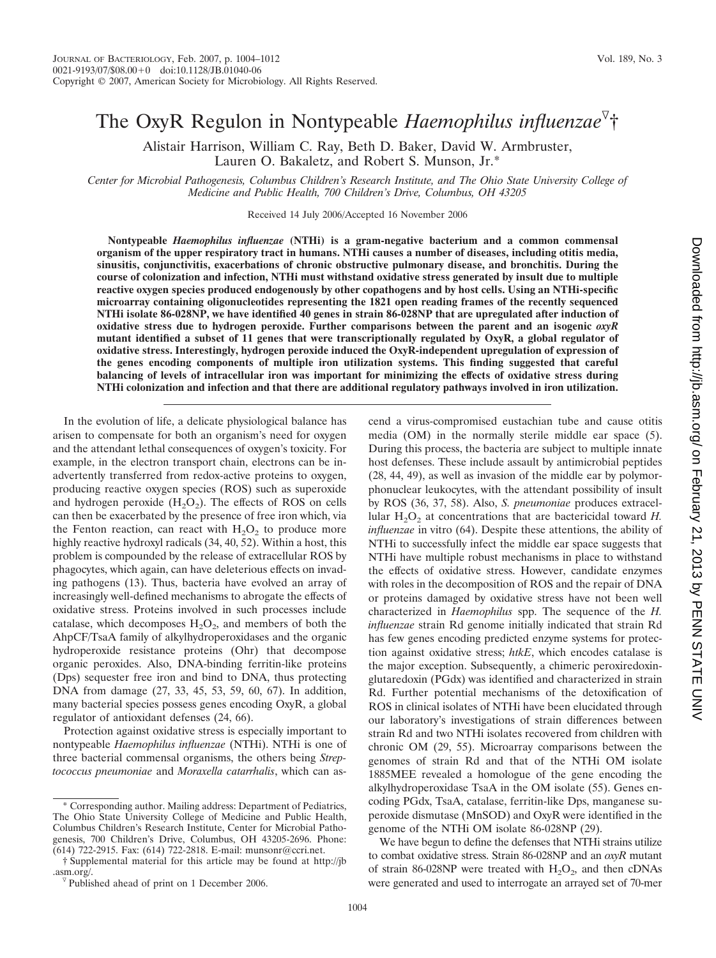## The OxyR Regulon in Nontypeable *Haemophilus influenzae* †

Alistair Harrison, William C. Ray, Beth D. Baker, David W. Armbruster, Lauren O. Bakaletz, and Robert S. Munson, Jr.\*

*Center for Microbial Pathogenesis, Columbus Children's Research Institute, and The Ohio State University College of Medicine and Public Health, 700 Children's Drive, Columbus, OH 43205*

Received 14 July 2006/Accepted 16 November 2006

**Nontypeable** *Haemophilus influenzae* **(NTHi) is a gram-negative bacterium and a common commensal organism of the upper respiratory tract in humans. NTHi causes a number of diseases, including otitis media, sinusitis, conjunctivitis, exacerbations of chronic obstructive pulmonary disease, and bronchitis. During the course of colonization and infection, NTHi must withstand oxidative stress generated by insult due to multiple reactive oxygen species produced endogenously by other copathogens and by host cells. Using an NTHi-specific microarray containing oligonucleotides representing the 1821 open reading frames of the recently sequenced NTHi isolate 86-028NP, we have identified 40 genes in strain 86-028NP that are upregulated after induction of oxidative stress due to hydrogen peroxide. Further comparisons between the parent and an isogenic** *oxyR* **mutant identified a subset of 11 genes that were transcriptionally regulated by OxyR, a global regulator of oxidative stress. Interestingly, hydrogen peroxide induced the OxyR-independent upregulation of expression of the genes encoding components of multiple iron utilization systems. This finding suggested that careful balancing of levels of intracellular iron was important for minimizing the effects of oxidative stress during NTHi colonization and infection and that there are additional regulatory pathways involved in iron utilization.**

In the evolution of life, a delicate physiological balance has arisen to compensate for both an organism's need for oxygen and the attendant lethal consequences of oxygen's toxicity. For example, in the electron transport chain, electrons can be inadvertently transferred from redox-active proteins to oxygen, producing reactive oxygen species (ROS) such as superoxide and hydrogen peroxide  $(H_2O_2)$ . The effects of ROS on cells can then be exacerbated by the presence of free iron which, via the Fenton reaction, can react with  $H_2O_2$  to produce more highly reactive hydroxyl radicals (34, 40, 52). Within a host, this problem is compounded by the release of extracellular ROS by phagocytes, which again, can have deleterious effects on invading pathogens (13). Thus, bacteria have evolved an array of increasingly well-defined mechanisms to abrogate the effects of oxidative stress. Proteins involved in such processes include catalase, which decomposes  $H_2O_2$ , and members of both the AhpCF/TsaA family of alkylhydroperoxidases and the organic hydroperoxide resistance proteins (Ohr) that decompose organic peroxides. Also, DNA-binding ferritin-like proteins (Dps) sequester free iron and bind to DNA, thus protecting DNA from damage (27, 33, 45, 53, 59, 60, 67). In addition, many bacterial species possess genes encoding OxyR, a global regulator of antioxidant defenses (24, 66).

Protection against oxidative stress is especially important to nontypeable *Haemophilus influenzae* (NTHi). NTHi is one of three bacterial commensal organisms, the others being *Streptococcus pneumoniae* and *Moraxella catarrhalis*, which can ascend a virus-compromised eustachian tube and cause otitis media (OM) in the normally sterile middle ear space (5). During this process, the bacteria are subject to multiple innate host defenses. These include assault by antimicrobial peptides (28, 44, 49), as well as invasion of the middle ear by polymorphonuclear leukocytes, with the attendant possibility of insult by ROS (36, 37, 58). Also, *S. pneumoniae* produces extracellular  $H_2O_2$  at concentrations that are bactericidal toward *H*. *influenzae* in vitro (64). Despite these attentions, the ability of NTHi to successfully infect the middle ear space suggests that NTHi have multiple robust mechanisms in place to withstand the effects of oxidative stress. However, candidate enzymes with roles in the decomposition of ROS and the repair of DNA or proteins damaged by oxidative stress have not been well characterized in *Haemophilus* spp. The sequence of the *H. influenzae* strain Rd genome initially indicated that strain Rd has few genes encoding predicted enzyme systems for protection against oxidative stress; *htkE*, which encodes catalase is the major exception. Subsequently, a chimeric peroxiredoxinglutaredoxin (PGdx) was identified and characterized in strain Rd. Further potential mechanisms of the detoxification of ROS in clinical isolates of NTHi have been elucidated through our laboratory's investigations of strain differences between strain Rd and two NTHi isolates recovered from children with chronic OM (29, 55). Microarray comparisons between the genomes of strain Rd and that of the NTHi OM isolate 1885MEE revealed a homologue of the gene encoding the alkylhydroperoxidase TsaA in the OM isolate (55). Genes encoding PGdx, TsaA, catalase, ferritin-like Dps, manganese superoxide dismutase (MnSOD) and OxyR were identified in the genome of the NTHi OM isolate 86-028NP (29).

We have begun to define the defenses that NTHi strains utilize to combat oxidative stress. Strain 86-028NP and an *oxyR* mutant of strain 86-028NP were treated with  $H_2O_2$ , and then cDNAs were generated and used to interrogate an arrayed set of 70-mer

<sup>\*</sup> Corresponding author. Mailing address: Department of Pediatrics, The Ohio State University College of Medicine and Public Health, Columbus Children's Research Institute, Center for Microbial Pathogenesis, 700 Children's Drive, Columbus, OH 43205-2696. Phone: (614) 722-2915. Fax: (614) 722-2818. E-mail: munsonr@ccri.net.

<sup>†</sup> Supplemental material for this article may be found at http://jb .asm.org/.<br><sup> $\sqrt{v}$ </sup> Published ahead of print on 1 December 2006.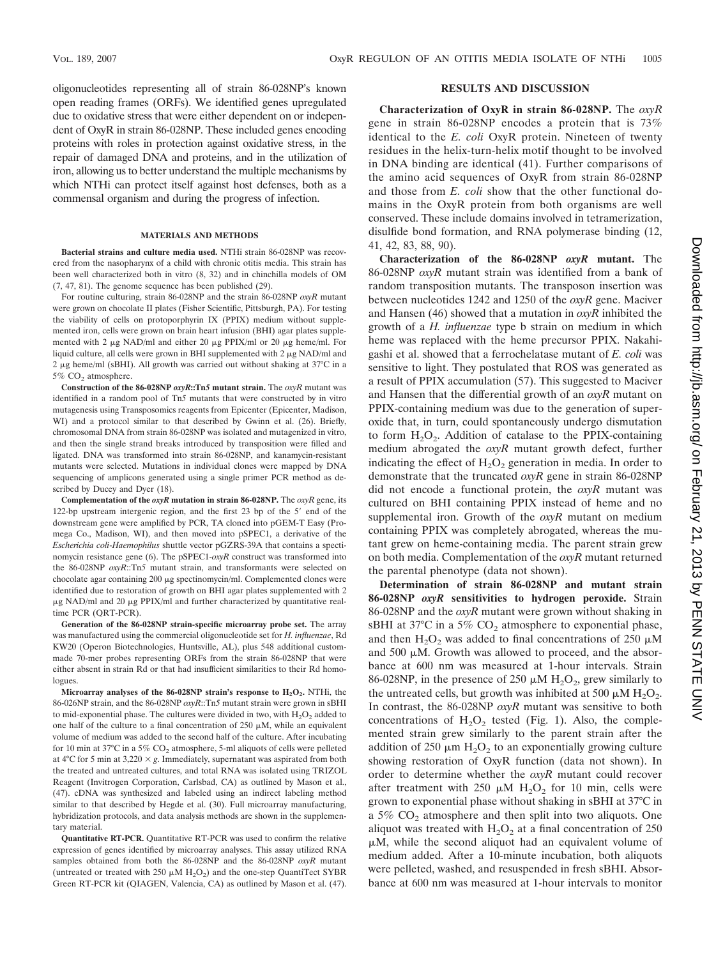oligonucleotides representing all of strain 86-028NP's known open reading frames (ORFs). We identified genes upregulated due to oxidative stress that were either dependent on or independent of OxyR in strain 86-028NP. These included genes encoding proteins with roles in protection against oxidative stress, in the repair of damaged DNA and proteins, and in the utilization of iron, allowing us to better understand the multiple mechanisms by which NTHi can protect itself against host defenses, both as a commensal organism and during the progress of infection.

#### **MATERIALS AND METHODS**

**Bacterial strains and culture media used.** NTHi strain 86-028NP was recovered from the nasopharynx of a child with chronic otitis media. This strain has been well characterized both in vitro (8, 32) and in chinchilla models of OM (7, 47, 81). The genome sequence has been published (29).

For routine culturing, strain 86-028NP and the strain 86-028NP *oxyR* mutant were grown on chocolate II plates (Fisher Scientific, Pittsburgh, PA). For testing the viability of cells on protoporphyrin IX (PPIX) medium without supplemented iron, cells were grown on brain heart infusion (BHI) agar plates supplemented with 2  $\mu$ g NAD/ml and either 20  $\mu$ g PPIX/ml or 20  $\mu$ g heme/ml. For liquid culture, all cells were grown in BHI supplemented with  $2 \mu g NAD/ml$  and 2 µg heme/ml (sBHI). All growth was carried out without shaking at 37°C in a 5% CO<sub>2</sub> atmosphere.

**Construction of the 86-028NP** *oxyR***::Tn***5* **mutant strain.** The *oxyR* mutant was identified in a random pool of Tn*5* mutants that were constructed by in vitro mutagenesis using Transposomics reagents from Epicenter (Epicenter, Madison, WI) and a protocol similar to that described by Gwinn et al. (26). Briefly, chromosomal DNA from strain 86-028NP was isolated and mutagenized in vitro, and then the single strand breaks introduced by transposition were filled and ligated. DNA was transformed into strain 86-028NP, and kanamycin-resistant mutants were selected. Mutations in individual clones were mapped by DNA sequencing of amplicons generated using a single primer PCR method as described by Ducey and Dyer (18).

**Complementation of the** *oxyR* **mutation in strain 86-028NP.** The *oxyR* gene, its 122-bp upstream intergenic region, and the first 23 bp of the 5' end of the downstream gene were amplified by PCR, TA cloned into pGEM-T Easy (Promega Co., Madison, WI), and then moved into pSPEC1, a derivative of the *Escherichia coli*-*Haemophilus* shuttle vector pGZRS-39A that contains a spectinomycin resistance gene (6). The pSPEC1-*oxyR* construct was transformed into the 86-028NP *oxyR*::Tn*5* mutant strain, and transformants were selected on chocolate agar containing 200 µg spectinomycin/ml. Complemented clones were identified due to restoration of growth on BHI agar plates supplemented with 2  $\mu$ g NAD/ml and 20  $\mu$ g PPIX/ml and further characterized by quantitative realtime PCR (QRT-PCR).

**Generation of the 86-028NP strain-specific microarray probe set.** The array was manufactured using the commercial oligonucleotide set for *H. influenzae*, Rd KW20 (Operon Biotechnologies, Huntsville, AL), plus 548 additional custommade 70-mer probes representing ORFs from the strain 86-028NP that were either absent in strain Rd or that had insufficient similarities to their Rd homologues.

**Microarray analyses of the 86-028NP strain's response to**  $H_2O_2$ **.** NTHi, the 86-026NP strain, and the 86-028NP *oxyR*::Tn*5* mutant strain were grown in sBHI to mid-exponential phase. The cultures were divided in two, with  $H_2O_2$  added to one half of the culture to a final concentration of  $250 \mu M$ , while an equivalent volume of medium was added to the second half of the culture. After incubating for 10 min at 37°C in a 5%  $CO<sub>2</sub>$  atmosphere, 5-ml aliquots of cells were pelleted at  $4^{\circ}$ C for 5 min at  $3,220 \times g$ . Immediately, supernatant was aspirated from both the treated and untreated cultures, and total RNA was isolated using TRIZOL Reagent (Invitrogen Corporation, Carlsbad, CA) as outlined by Mason et al., (47). cDNA was synthesized and labeled using an indirect labeling method similar to that described by Hegde et al. (30). Full microarray manufacturing, hybridization protocols, and data analysis methods are shown in the supplementary material.

**Quantitative RT-PCR.** Quantitative RT-PCR was used to confirm the relative expression of genes identified by microarray analyses. This assay utilized RNA samples obtained from both the 86-028NP and the 86-028NP *oxyR* mutant (untreated or treated with 250  $\mu$ M H<sub>2</sub>O<sub>2</sub>) and the one-step QuantiTect SYBR Green RT-PCR kit (QIAGEN, Valencia, CA) as outlined by Mason et al. (47).

#### **RESULTS AND DISCUSSION**

**Characterization of OxyR in strain 86-028NP.** The *oxyR* gene in strain 86-028NP encodes a protein that is 73% identical to the *E. coli* OxyR protein. Nineteen of twenty residues in the helix-turn-helix motif thought to be involved in DNA binding are identical (41). Further comparisons of the amino acid sequences of OxyR from strain 86-028NP and those from *E. coli* show that the other functional domains in the OxyR protein from both organisms are well conserved. These include domains involved in tetramerization, disulfide bond formation, and RNA polymerase binding (12, 41, 42, 83, 88, 90).

**Characterization of the 86-028NP** *oxyR* **mutant.** The 86-028NP *oxyR* mutant strain was identified from a bank of random transposition mutants. The transposon insertion was between nucleotides 1242 and 1250 of the *oxyR* gene. Maciver and Hansen (46) showed that a mutation in *oxyR* inhibited the growth of a *H. influenzae* type b strain on medium in which heme was replaced with the heme precursor PPIX. Nakahigashi et al. showed that a ferrochelatase mutant of *E. coli* was sensitive to light. They postulated that ROS was generated as a result of PPIX accumulation (57). This suggested to Maciver and Hansen that the differential growth of an *oxyR* mutant on PPIX-containing medium was due to the generation of superoxide that, in turn, could spontaneously undergo dismutation to form  $H_2O_2$ . Addition of catalase to the PPIX-containing medium abrogated the *oxyR* mutant growth defect, further indicating the effect of  $H<sub>2</sub>O<sub>2</sub>$  generation in media. In order to demonstrate that the truncated *oxyR* gene in strain 86-028NP did not encode a functional protein, the *oxyR* mutant was cultured on BHI containing PPIX instead of heme and no supplemental iron. Growth of the *oxyR* mutant on medium containing PPIX was completely abrogated, whereas the mutant grew on heme-containing media. The parent strain grew on both media. Complementation of the *oxyR* mutant returned the parental phenotype (data not shown).

**Determination of strain 86-028NP and mutant strain 86-028NP** *oxyR* **sensitivities to hydrogen peroxide.** Strain 86-028NP and the *oxyR* mutant were grown without shaking in sBHI at  $37^{\circ}$ C in a  $5\%$  CO<sub>2</sub> atmosphere to exponential phase, and then  $H_2O_2$  was added to final concentrations of 250  $\mu$ M and  $500 \mu M$ . Growth was allowed to proceed, and the absorbance at 600 nm was measured at 1-hour intervals. Strain 86-028NP, in the presence of 250  $\mu$ M H<sub>2</sub>O<sub>2</sub>, grew similarly to the untreated cells, but growth was inhibited at 500  $\mu$ M H<sub>2</sub>O<sub>2</sub>. In contrast, the 86-028NP *oxyR* mutant was sensitive to both concentrations of  $H_2O_2$  tested (Fig. 1). Also, the complemented strain grew similarly to the parent strain after the addition of 250  $\mu$ m H<sub>2</sub>O<sub>2</sub> to an exponentially growing culture showing restoration of OxyR function (data not shown). In order to determine whether the *oxyR* mutant could recover after treatment with  $250 \mu M H_2O_2$  for 10 min, cells were grown to exponential phase without shaking in sBHI at 37°C in a  $5\%$  CO<sub>2</sub> atmosphere and then split into two aliquots. One aliquot was treated with  $H_2O_2$  at a final concentration of 250  $\mu$ M, while the second aliquot had an equivalent volume of medium added. After a 10-minute incubation, both aliquots were pelleted, washed, and resuspended in fresh sBHI. Absorbance at 600 nm was measured at 1-hour intervals to monitor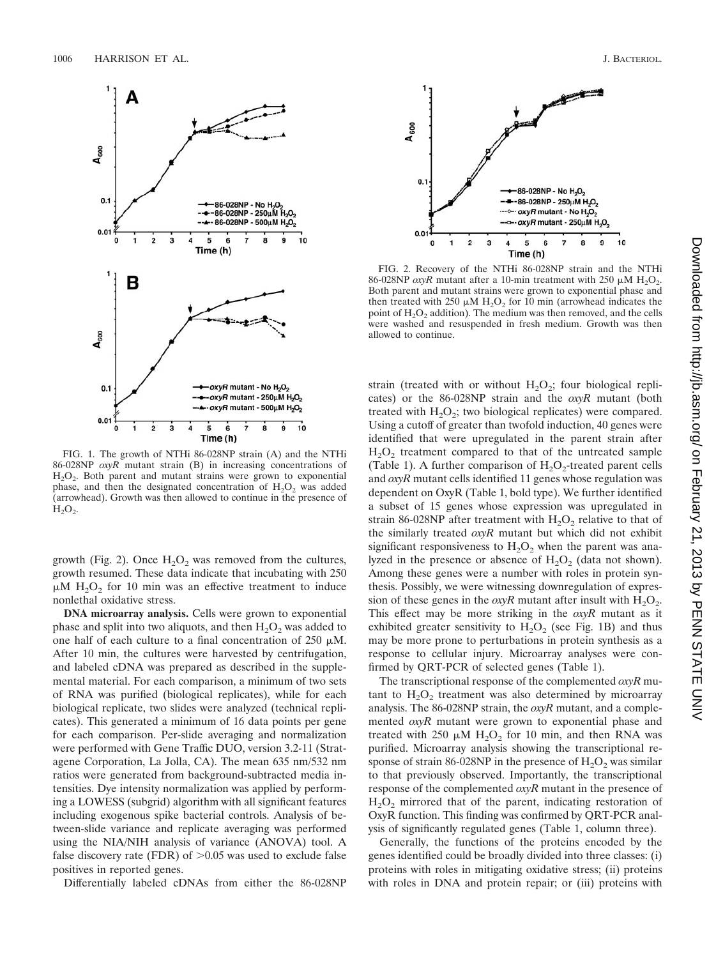

FIG. 1. The growth of NTHi 86-028NP strain (A) and the NTHi 86-028NP *oxyR* mutant strain (B) in increasing concentrations of  $H<sub>2</sub>O<sub>2</sub>$ . Both parent and mutant strains were grown to exponential phase, and then the designated concentration of  $H_2O_2$  was added (arrowhead). Growth was then allowed to continue in the presence of  $H<sub>2</sub>O<sub>2</sub>$ .

growth (Fig. 2). Once  $H_2O_2$  was removed from the cultures, growth resumed. These data indicate that incubating with 250  $\mu$ M H<sub>2</sub>O<sub>2</sub> for 10 min was an effective treatment to induce nonlethal oxidative stress.

**DNA microarray analysis.** Cells were grown to exponential phase and split into two aliquots, and then  $H_2O_2$  was added to one half of each culture to a final concentration of  $250 \mu M$ . After 10 min, the cultures were harvested by centrifugation, and labeled cDNA was prepared as described in the supplemental material. For each comparison, a minimum of two sets of RNA was purified (biological replicates), while for each biological replicate, two slides were analyzed (technical replicates). This generated a minimum of 16 data points per gene for each comparison. Per-slide averaging and normalization were performed with Gene Traffic DUO, version 3.2-11 (Stratagene Corporation, La Jolla, CA). The mean 635 nm/532 nm ratios were generated from background-subtracted media intensities. Dye intensity normalization was applied by performing a LOWESS (subgrid) algorithm with all significant features including exogenous spike bacterial controls. Analysis of between-slide variance and replicate averaging was performed using the NIA/NIH analysis of variance (ANOVA) tool. A false discovery rate (FDR) of  $>0.05$  was used to exclude false positives in reported genes.

Differentially labeled cDNAs from either the 86-028NP

 $0.1$ 86-028NP - No H<sub>2</sub>O<sub>2</sub> ---86-028NP - 250µM H<sub>2</sub>O<sub>2</sub> ----- oxyR mutant - No H<sub>2</sub>O<sub>2</sub> ----- oxyR mutant - 250µM H<sub>2</sub>O<sub>2</sub>  $0.0$  $\bf{0}$  $\overline{a}$ 3 5 6 7 10 4 Time (h)

 $A_{600}$ 

FIG. 2. Recovery of the NTHi 86-028NP strain and the NTHi 86-028NP  $\alpha$ yR mutant after a 10-min treatment with 250  $\mu$ M H<sub>2</sub>O<sub>2</sub>. Both parent and mutant strains were grown to exponential phase and then treated with 250  $\mu$ M H<sub>2</sub>O<sub>2</sub> for 10 min (arrowhead indicates the point of  $H_2O_2$  addition). The medium was then removed, and the cells were washed and resuspended in fresh medium. Growth was then allowed to continue.

strain (treated with or without  $H_2O_2$ ; four biological replicates) or the 86-028NP strain and the *oxyR* mutant (both treated with  $H_2O_2$ ; two biological replicates) were compared. Using a cutoff of greater than twofold induction, 40 genes were identified that were upregulated in the parent strain after  $H<sub>2</sub>O<sub>2</sub>$  treatment compared to that of the untreated sample (Table 1). A further comparison of  $H_2O_2$ -treated parent cells and *oxyR* mutant cells identified 11 genes whose regulation was dependent on OxyR (Table 1, bold type). We further identified a subset of 15 genes whose expression was upregulated in strain 86-028NP after treatment with  $H_2O_2$  relative to that of the similarly treated *oxyR* mutant but which did not exhibit significant responsiveness to  $H_2O_2$  when the parent was analyzed in the presence or absence of  $H_2O_2$  (data not shown). Among these genes were a number with roles in protein synthesis. Possibly, we were witnessing downregulation of expression of these genes in the  $\alpha yR$  mutant after insult with  $H_2O_2$ . This effect may be more striking in the *oxyR* mutant as it exhibited greater sensitivity to  $H_2O_2$  (see Fig. 1B) and thus may be more prone to perturbations in protein synthesis as a response to cellular injury. Microarray analyses were confirmed by QRT-PCR of selected genes (Table 1).

The transcriptional response of the complemented *oxyR* mutant to  $H_2O_2$  treatment was also determined by microarray analysis. The 86-028NP strain, the *oxyR* mutant, and a complemented *oxyR* mutant were grown to exponential phase and treated with  $250 \mu M H_2O_2$  for 10 min, and then RNA was purified. Microarray analysis showing the transcriptional response of strain 86-028NP in the presence of  $H_2O_2$  was similar to that previously observed. Importantly, the transcriptional response of the complemented *oxyR* mutant in the presence of  $H<sub>2</sub>O<sub>2</sub>$  mirrored that of the parent, indicating restoration of OxyR function. This finding was confirmed by QRT-PCR analysis of significantly regulated genes (Table 1, column three).

Generally, the functions of the proteins encoded by the genes identified could be broadly divided into three classes: (i) proteins with roles in mitigating oxidative stress; (ii) proteins with roles in DNA and protein repair; or (iii) proteins with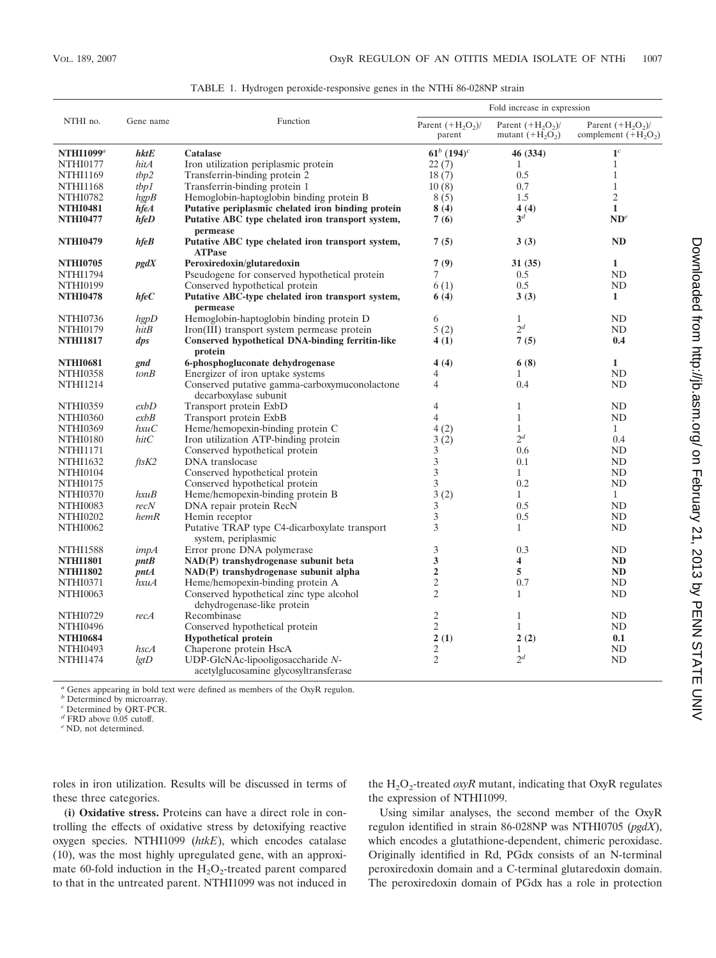| NTHI no.<br>Gene name |                             |                                                                        | Fold increase in expression  |                                            |                                            |
|-----------------------|-----------------------------|------------------------------------------------------------------------|------------------------------|--------------------------------------------|--------------------------------------------|
|                       |                             | Function                                                               | Parent $(+H2O2)$ /<br>parent | Parent $(+H_2O_2)$ /<br>mutant $(+H_2O_2)$ | Parent $(+H2O2)$<br>complement $(+H_2O_2)$ |
| NTHI1099 $^a$         | $h$ kt $E$                  | Catalase                                                               | $61^b (194)^c$               | 46 (334)                                   | $\mathbf{1}^c$                             |
| <b>NTHI0177</b>       | hitA                        | Iron utilization periplasmic protein                                   | 22(7)                        | 1                                          | $\mathbf{1}$                               |
| <b>NTHI1169</b>       | tbp2                        | Transferrin-binding protein 2                                          | 18(7)                        | 0.5                                        | $\mathbf{1}$                               |
| <b>NTHI1168</b>       | tbp1                        | Transferrin-binding protein 1                                          | 10(8)                        | 0.7                                        | $\mathbf{1}$                               |
| <b>NTHI0782</b>       | hgpB                        | Hemoglobin-haptoglobin binding protein B                               | 8(5)                         | 1.5                                        | 2                                          |
| <b>NTHI0481</b>       | hfeA                        | Putative periplasmic chelated iron binding protein                     | 8(4)                         | 4(4)                                       | $\mathbf{1}$                               |
| <b>NTHI0477</b>       | $h\mathit{fe}D$             | Putative ABC type chelated iron transport system,<br>permease          | 7(6)                         | 3 <sup>d</sup>                             | ND <sup>e</sup>                            |
| <b>NTHI0479</b>       | hfeB                        | Putative ABC type chelated iron transport system,<br><b>ATPase</b>     | 7(5)                         | 3(3)                                       | <b>ND</b>                                  |
| <b>NTHI0705</b>       | pgdX                        | Peroxiredoxin/glutaredoxin                                             | 7(9)                         | 31(35)                                     | $\mathbf{1}$                               |
| <b>NTHI1794</b>       |                             | Pseudogene for conserved hypothetical protein                          | 7                            | 0.5                                        | <b>ND</b>                                  |
| <b>NTHI0199</b>       |                             | Conserved hypothetical protein                                         | 6(1)                         | 0.5                                        | <b>ND</b>                                  |
| <b>NTHI0478</b>       | $h\mathit{feC}$             | Putative ABC-type chelated iron transport system,<br>permease          | 6(4)                         | 3(3)                                       | 1                                          |
| <b>NTHI0736</b>       | hgpD                        | Hemoglobin-haptoglobin binding protein D                               | 6                            | $\mathbf{1}$                               | ND                                         |
| <b>NTHI0179</b>       | hitB                        | Iron(III) transport system permease protein                            | 5(2)                         | $2^d$                                      | ND                                         |
| <b>NTHI1817</b>       | $\mathfrak{d}p\mathfrak{s}$ | <b>Conserved hypothetical DNA-binding ferritin-like</b>                | 4(1)                         | 7(5)                                       | 0.4                                        |
|                       |                             | protein                                                                |                              |                                            |                                            |
| <b>NTHI0681</b>       | gnd                         | 6-phosphogluconate dehydrogenase                                       | 4(4)                         | 6(8)                                       | $\mathbf{1}$                               |
| <b>NTHI0358</b>       | tonB                        | Energizer of iron uptake systems                                       | 4                            | 1                                          | ND                                         |
| <b>NTHI1214</b>       |                             | Conserved putative gamma-carboxymuconolactone<br>decarboxylase subunit | 4                            | 0.4                                        | ND                                         |
| <b>NTHI0359</b>       | exbD                        | Transport protein ExbD                                                 | 4                            | $\mathbf{1}$                               | <b>ND</b>                                  |
| <b>NTHI0360</b>       | exbB                        | Transport protein ExbB                                                 | $\overline{4}$               | $\mathbf{1}$                               | N <sub>D</sub>                             |
| <b>NTHI0369</b>       | $h$ xu $C$                  | Heme/hemopexin-binding protein C                                       | 4(2)                         | $\mathbf{1}$                               | $\mathbf{1}$                               |
| <b>NTHI0180</b>       | hitC                        | Iron utilization ATP-binding protein                                   | 3(2)                         | $2^d$                                      | 0.4                                        |
| <b>NTHI1171</b>       |                             | Conserved hypothetical protein                                         | 3                            | 0.6                                        | ND                                         |
| <b>NTHI1632</b>       | $\frac{f}{t}$ sK2           | DNA translocase                                                        | 3                            | 0.1                                        | N <sub>D</sub>                             |
| <b>NTHI0104</b>       |                             | Conserved hypothetical protein                                         | 3                            | $\mathbf{1}$                               | <b>ND</b>                                  |
| <b>NTHI0175</b>       |                             | Conserved hypothetical protein                                         | 3                            | 0.2                                        | ND                                         |
| <b>NTHI0370</b>       | hxaB                        | Heme/hemopexin-binding protein B                                       | 3(2)                         | $\mathbf{1}$                               | $\mathbf{1}$                               |
| <b>NTHI0083</b>       | recN                        | DNA repair protein RecN                                                | 3                            | 0.5                                        | <b>ND</b>                                  |
| <b>NTHI0202</b>       | hemR                        | Hemin receptor                                                         | 3                            | 0.5                                        | ND                                         |
| <b>NTHI0062</b>       |                             | Putative TRAP type C4-dicarboxylate transport<br>system, periplasmic   | 3                            | $\mathbf{1}$                               | ND                                         |
| <b>NTHI1588</b>       | impA                        | Error prone DNA polymerase                                             | 3                            | 0.3                                        | ND                                         |
| <b>NTHI1801</b>       | pntB                        | NAD(P) transhydrogenase subunit beta                                   | 3                            | 4                                          | <b>ND</b>                                  |
| <b>NTHI1802</b>       | pntA                        | NAD(P) transhydrogenase subunit alpha                                  | $\overline{2}$               | 5                                          | <b>ND</b>                                  |
| <b>NTHI0371</b>       | hxuA                        | Heme/hemopexin-binding protein A                                       | 2                            | 0.7                                        | ND                                         |
| <b>NTHI0063</b>       |                             | Conserved hypothetical zinc type alcohol<br>dehydrogenase-like protein | $\overline{2}$               | 1                                          | ND                                         |
| <b>NTHI0729</b>       | recA                        | Recombinase                                                            | 2                            | 1                                          | <b>ND</b>                                  |
| <b>NTHI0496</b>       |                             | Conserved hypothetical protein                                         | $\overline{c}$               | $\mathbf{1}$                               | ND                                         |
| <b>NTHI0684</b>       |                             | <b>Hypothetical protein</b>                                            | 2(1)                         | 2(2)                                       | 0.1                                        |
| <b>NTHI0493</b>       | hscA                        | Chaperone protein HscA                                                 | $\mathbf{2}$                 | $\mathbf{1}$                               | <b>ND</b>                                  |
| <b>NTHI1474</b>       | lgtD                        | UDP-GlcNAc-lipooligosaccharide N-                                      | $\overline{c}$               | $2^d$                                      | <b>ND</b>                                  |
|                       |                             | acetylglucosamine glycosyltransferase                                  |                              |                                            |                                            |

TABLE 1. Hydrogen peroxide-responsive genes in the NTHi 86-028NP strain

*<sup>a</sup>* Genes appearing in bold text were defined as members of the OxyR regulon.

*b* Determined by microarray.

*<sup>c</sup>* Determined by QRT-PCR.

*<sup>d</sup>* FRD above 0.05 cutoff.

*<sup>e</sup>* ND, not determined.

roles in iron utilization. Results will be discussed in terms of these three categories.

**(i) Oxidative stress.** Proteins can have a direct role in controlling the effects of oxidative stress by detoxifying reactive oxygen species. NTHI1099 (*htkE*), which encodes catalase (10), was the most highly upregulated gene, with an approximate 60-fold induction in the  $H_2O_2$ -treated parent compared to that in the untreated parent. NTHI1099 was not induced in

the  $H_2O_2$ -treated *oxyR* mutant, indicating that OxyR regulates the expression of NTHI1099.

Using similar analyses, the second member of the OxyR regulon identified in strain 86-028NP was NTHI0705 (*pgdX*), which encodes a glutathione-dependent, chimeric peroxidase. Originally identified in Rd, PGdx consists of an N-terminal peroxiredoxin domain and a C-terminal glutaredoxin domain. The peroxiredoxin domain of PGdx has a role in protection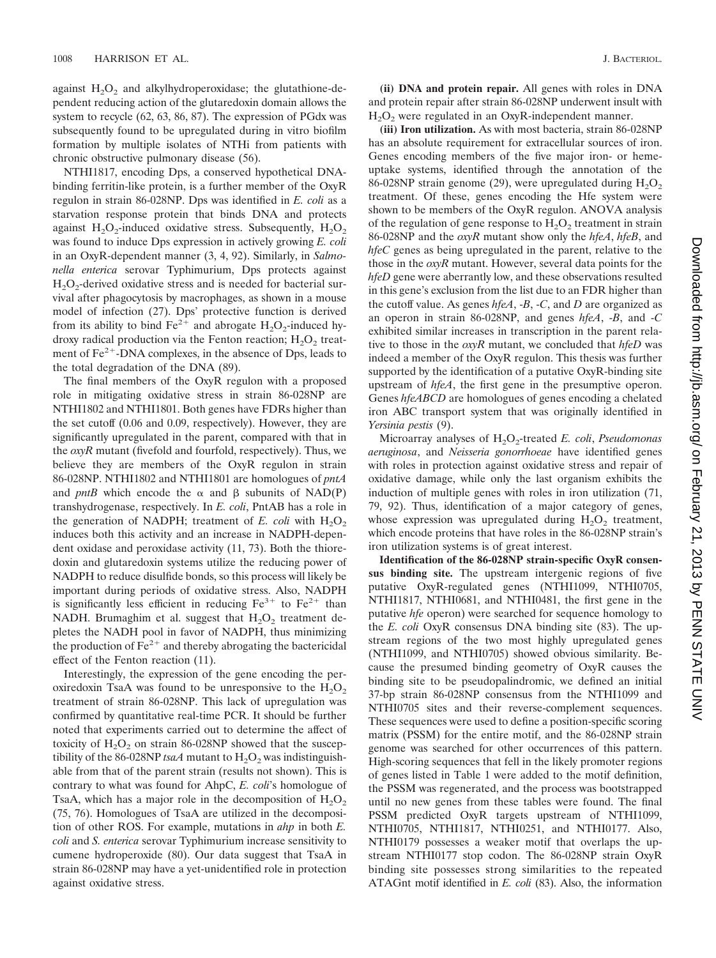against  $H_2O_2$  and alkylhydroperoxidase; the glutathione-dependent reducing action of the glutaredoxin domain allows the system to recycle (62, 63, 86, 87). The expression of PGdx was subsequently found to be upregulated during in vitro biofilm formation by multiple isolates of NTHi from patients with chronic obstructive pulmonary disease (56).

NTHI1817, encoding Dps, a conserved hypothetical DNAbinding ferritin-like protein, is a further member of the OxyR regulon in strain 86-028NP. Dps was identified in *E. coli* as a starvation response protein that binds DNA and protects against  $H_2O_2$ -induced oxidative stress. Subsequently,  $H_2O_2$ was found to induce Dps expression in actively growing *E. coli* in an OxyR-dependent manner (3, 4, 92). Similarly, in *Salmonella enterica* serovar Typhimurium, Dps protects against  $H_2O_2$ -derived oxidative stress and is needed for bacterial survival after phagocytosis by macrophages, as shown in a mouse model of infection (27). Dps' protective function is derived from its ability to bind  $Fe^{2+}$  and abrogate  $H_2O_2$ -induced hydroxy radical production via the Fenton reaction;  $H_2O_2$  treatment of  $Fe<sup>2+</sup>$ -DNA complexes, in the absence of Dps, leads to the total degradation of the DNA (89).

The final members of the OxyR regulon with a proposed role in mitigating oxidative stress in strain 86-028NP are NTHI1802 and NTHI1801. Both genes have FDRs higher than the set cutoff (0.06 and 0.09, respectively). However, they are significantly upregulated in the parent, compared with that in the *oxyR* mutant (fivefold and fourfold, respectively). Thus, we believe they are members of the OxyR regulon in strain 86-028NP. NTHI1802 and NTHI1801 are homologues of *pntA* and *pntB* which encode the  $\alpha$  and  $\beta$  subunits of NAD(P) transhydrogenase, respectively. In *E. coli*, PntAB has a role in the generation of NADPH; treatment of  $E$ . *coli* with  $H_2O_2$ induces both this activity and an increase in NADPH-dependent oxidase and peroxidase activity (11, 73). Both the thioredoxin and glutaredoxin systems utilize the reducing power of NADPH to reduce disulfide bonds, so this process will likely be important during periods of oxidative stress. Also, NADPH is significantly less efficient in reducing  $Fe^{3+}$  to  $Fe^{2+}$  than NADH. Brumaghim et al. suggest that  $H_2O_2$  treatment depletes the NADH pool in favor of NADPH, thus minimizing the production of  $Fe^{2+}$  and thereby abrogating the bactericidal effect of the Fenton reaction (11).

Interestingly, the expression of the gene encoding the peroxiredoxin TsaA was found to be unresponsive to the  $H_2O_2$ treatment of strain 86-028NP. This lack of upregulation was confirmed by quantitative real-time PCR. It should be further noted that experiments carried out to determine the affect of toxicity of  $H_2O_2$  on strain 86-028NP showed that the susceptibility of the 86-028NP *tsaA* mutant to  $H_2O_2$  was indistinguishable from that of the parent strain (results not shown). This is contrary to what was found for AhpC, *E. coli*'s homologue of TsaA, which has a major role in the decomposition of  $H_2O_2$ (75, 76). Homologues of TsaA are utilized in the decomposition of other ROS. For example, mutations in *ahp* in both *E. coli* and *S. enterica* serovar Typhimurium increase sensitivity to cumene hydroperoxide (80). Our data suggest that TsaA in strain 86-028NP may have a yet-unidentified role in protection against oxidative stress.

**(ii) DNA and protein repair.** All genes with roles in DNA and protein repair after strain 86-028NP underwent insult with  $H<sub>2</sub>O<sub>2</sub>$  were regulated in an OxyR-independent manner.

**(iii) Iron utilization.** As with most bacteria, strain 86-028NP has an absolute requirement for extracellular sources of iron. Genes encoding members of the five major iron- or hemeuptake systems, identified through the annotation of the 86-028NP strain genome (29), were upregulated during  $H_2O_2$ treatment. Of these, genes encoding the Hfe system were shown to be members of the OxyR regulon. ANOVA analysis of the regulation of gene response to  $H_2O_2$  treatment in strain 86-028NP and the *oxyR* mutant show only the *hfeA*, *hfeB*, and *hfeC* genes as being upregulated in the parent, relative to the those in the *oxyR* mutant. However, several data points for the *hfeD* gene were aberrantly low, and these observations resulted in this gene's exclusion from the list due to an FDR higher than the cutoff value. As genes *hfeA*, -*B*, -*C*, and *D* are organized as an operon in strain 86-028NP, and genes *hfeA*, -*B*, and -*C* exhibited similar increases in transcription in the parent relative to those in the *oxyR* mutant, we concluded that *hfeD* was indeed a member of the OxyR regulon. This thesis was further supported by the identification of a putative OxyR-binding site upstream of *hfeA*, the first gene in the presumptive operon. Genes *hfeABCD* are homologues of genes encoding a chelated iron ABC transport system that was originally identified in *Yersinia pestis* (9).

Microarray analyses of H<sub>2</sub>O<sub>2</sub>-treated *E. coli, Pseudomonas aeruginosa*, and *Neisseria gonorrhoeae* have identified genes with roles in protection against oxidative stress and repair of oxidative damage, while only the last organism exhibits the induction of multiple genes with roles in iron utilization (71, 79, 92). Thus, identification of a major category of genes, whose expression was upregulated during  $H_2O_2$  treatment, which encode proteins that have roles in the 86-028NP strain's iron utilization systems is of great interest.

**Identification of the 86-028NP strain-specific OxyR consensus binding site.** The upstream intergenic regions of five putative OxyR-regulated genes (NTHI1099, NTHI0705, NTHI1817, NTHI0681, and NTHI0481, the first gene in the putative *hfe* operon) were searched for sequence homology to the *E. coli* OxyR consensus DNA binding site (83). The upstream regions of the two most highly upregulated genes (NTHI1099, and NTHI0705) showed obvious similarity. Because the presumed binding geometry of OxyR causes the binding site to be pseudopalindromic, we defined an initial 37-bp strain 86-028NP consensus from the NTHI1099 and NTHI0705 sites and their reverse-complement sequences. These sequences were used to define a position-specific scoring matrix (PSSM) for the entire motif, and the 86-028NP strain genome was searched for other occurrences of this pattern. High-scoring sequences that fell in the likely promoter regions of genes listed in Table 1 were added to the motif definition, the PSSM was regenerated, and the process was bootstrapped until no new genes from these tables were found. The final PSSM predicted OxyR targets upstream of NTHI1099, NTHI0705, NTHI1817, NTHI0251, and NTHI0177. Also, NTHI0179 possesses a weaker motif that overlaps the upstream NTHI0177 stop codon. The 86-028NP strain OxyR binding site possesses strong similarities to the repeated ATAGnt motif identified in *E. coli* (83). Also, the information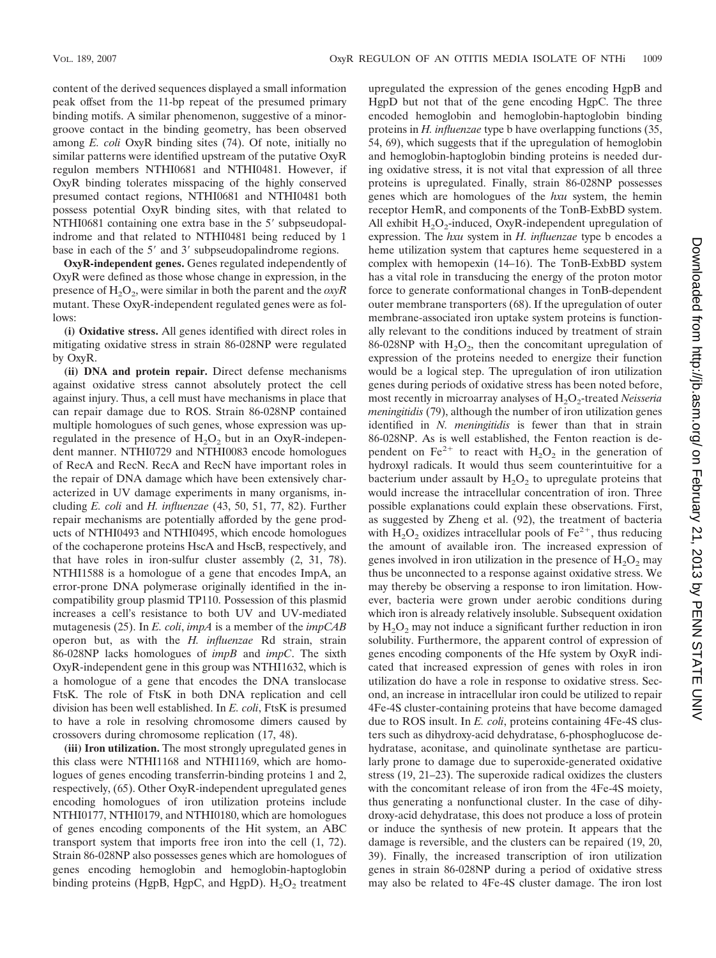content of the derived sequences displayed a small information peak offset from the 11-bp repeat of the presumed primary binding motifs. A similar phenomenon, suggestive of a minorgroove contact in the binding geometry, has been observed among *E. coli* OxyR binding sites (74). Of note, initially no similar patterns were identified upstream of the putative OxyR regulon members NTHI0681 and NTHI0481. However, if OxyR binding tolerates misspacing of the highly conserved presumed contact regions, NTHI0681 and NTHI0481 both possess potential OxyR binding sites, with that related to NTHI0681 containing one extra base in the 5' subpseudopalindrome and that related to NTHI0481 being reduced by 1 base in each of the 5' and 3' subpseudopalindrome regions.

**OxyR-independent genes.** Genes regulated independently of OxyR were defined as those whose change in expression, in the presence of H<sub>2</sub>O<sub>2</sub>, were similar in both the parent and the *oxvR* mutant. These OxyR-independent regulated genes were as follows:

**(i) Oxidative stress.** All genes identified with direct roles in mitigating oxidative stress in strain 86-028NP were regulated by OxyR.

**(ii) DNA and protein repair.** Direct defense mechanisms against oxidative stress cannot absolutely protect the cell against injury. Thus, a cell must have mechanisms in place that can repair damage due to ROS. Strain 86-028NP contained multiple homologues of such genes, whose expression was upregulated in the presence of  $H_2O_2$  but in an OxyR-independent manner. NTHI0729 and NTHI0083 encode homologues of RecA and RecN. RecA and RecN have important roles in the repair of DNA damage which have been extensively characterized in UV damage experiments in many organisms, including *E. coli* and *H. influenzae* (43, 50, 51, 77, 82). Further repair mechanisms are potentially afforded by the gene products of NTHI0493 and NTHI0495, which encode homologues of the cochaperone proteins HscA and HscB, respectively, and that have roles in iron-sulfur cluster assembly (2, 31, 78). NTHI1588 is a homologue of a gene that encodes ImpA, an error-prone DNA polymerase originally identified in the incompatibility group plasmid TP110. Possession of this plasmid increases a cell's resistance to both UV and UV-mediated mutagenesis (25). In *E. coli*, *impA* is a member of the *impCAB* operon but, as with the *H. influenzae* Rd strain, strain 86-028NP lacks homologues of *impB* and *impC*. The sixth OxyR-independent gene in this group was NTHI1632, which is a homologue of a gene that encodes the DNA translocase FtsK. The role of FtsK in both DNA replication and cell division has been well established. In *E. coli*, FtsK is presumed to have a role in resolving chromosome dimers caused by crossovers during chromosome replication (17, 48).

**(iii) Iron utilization.** The most strongly upregulated genes in this class were NTHI1168 and NTHI1169, which are homologues of genes encoding transferrin-binding proteins 1 and 2, respectively, (65). Other OxyR-independent upregulated genes encoding homologues of iron utilization proteins include NTHI0177, NTHI0179, and NTHI0180, which are homologues of genes encoding components of the Hit system, an ABC transport system that imports free iron into the cell (1, 72). Strain 86-028NP also possesses genes which are homologues of genes encoding hemoglobin and hemoglobin-haptoglobin binding proteins (HgpB, HgpC, and HgpD).  $H_2O_2$  treatment

upregulated the expression of the genes encoding HgpB and HgpD but not that of the gene encoding HgpC. The three encoded hemoglobin and hemoglobin-haptoglobin binding proteins in *H. influenzae* type b have overlapping functions (35, 54, 69), which suggests that if the upregulation of hemoglobin and hemoglobin-haptoglobin binding proteins is needed during oxidative stress, it is not vital that expression of all three proteins is upregulated. Finally, strain 86-028NP possesses genes which are homologues of the *hxu* system, the hemin receptor HemR, and components of the TonB-ExbBD system. All exhibit  $H_2O_2$ -induced, OxyR-independent upregulation of expression. The *hxu* system in *H. influenzae* type b encodes a heme utilization system that captures heme sequestered in a complex with hemopexin (14–16). The TonB-ExbBD system has a vital role in transducing the energy of the proton motor force to generate conformational changes in TonB-dependent outer membrane transporters (68). If the upregulation of outer membrane-associated iron uptake system proteins is functionally relevant to the conditions induced by treatment of strain 86-028NP with  $H_2O_2$ , then the concomitant upregulation of expression of the proteins needed to energize their function would be a logical step. The upregulation of iron utilization genes during periods of oxidative stress has been noted before, most recently in microarray analyses of H<sub>2</sub>O<sub>2</sub>-treated *Neisseria meningitidis* (79), although the number of iron utilization genes identified in *N. meningitidis* is fewer than that in strain 86-028NP. As is well established, the Fenton reaction is dependent on Fe<sup>2+</sup> to react with  $H_2O_2$  in the generation of hydroxyl radicals. It would thus seem counterintuitive for a bacterium under assault by  $H_2O_2$  to upregulate proteins that would increase the intracellular concentration of iron. Three possible explanations could explain these observations. First, as suggested by Zheng et al. (92), the treatment of bacteria with  $H_2O_2$  oxidizes intracellular pools of  $Fe^{2+}$ , thus reducing the amount of available iron. The increased expression of genes involved in iron utilization in the presence of  $H_2O_2$  may thus be unconnected to a response against oxidative stress. We may thereby be observing a response to iron limitation. However, bacteria were grown under aerobic conditions during which iron is already relatively insoluble. Subsequent oxidation by  $H_2O_2$  may not induce a significant further reduction in iron solubility. Furthermore, the apparent control of expression of genes encoding components of the Hfe system by OxyR indicated that increased expression of genes with roles in iron utilization do have a role in response to oxidative stress. Second, an increase in intracellular iron could be utilized to repair 4Fe-4S cluster-containing proteins that have become damaged due to ROS insult. In *E. coli*, proteins containing 4Fe-4S clusters such as dihydroxy-acid dehydratase, 6-phosphoglucose dehydratase, aconitase, and quinolinate synthetase are particularly prone to damage due to superoxide-generated oxidative stress (19, 21–23). The superoxide radical oxidizes the clusters with the concomitant release of iron from the 4Fe-4S moiety, thus generating a nonfunctional cluster. In the case of dihydroxy-acid dehydratase, this does not produce a loss of protein or induce the synthesis of new protein. It appears that the damage is reversible, and the clusters can be repaired (19, 20, 39). Finally, the increased transcription of iron utilization genes in strain 86-028NP during a period of oxidative stress may also be related to 4Fe-4S cluster damage. The iron lost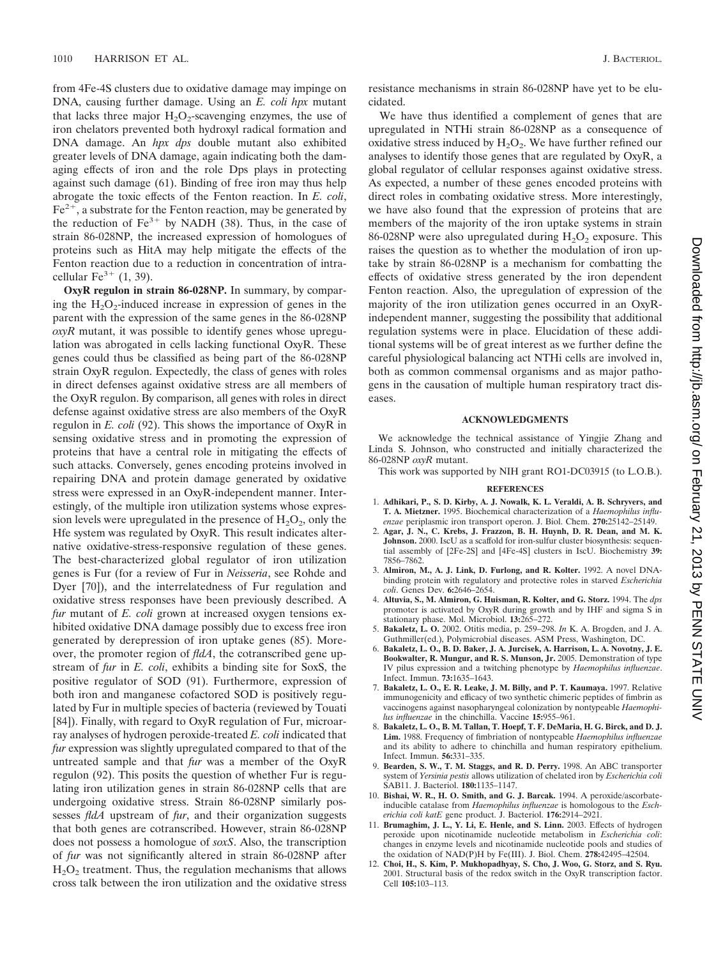from 4Fe-4S clusters due to oxidative damage may impinge on DNA, causing further damage. Using an *E. coli hpx* mutant that lacks three major  $H_2O_2$ -scavenging enzymes, the use of iron chelators prevented both hydroxyl radical formation and DNA damage. An *hpx dps* double mutant also exhibited greater levels of DNA damage, again indicating both the damaging effects of iron and the role Dps plays in protecting against such damage (61). Binding of free iron may thus help abrogate the toxic effects of the Fenton reaction. In *E. coli*,  $Fe<sup>2+</sup>$ , a substrate for the Fenton reaction, may be generated by the reduction of  $Fe^{3+}$  by NADH (38). Thus, in the case of strain 86-028NP, the increased expression of homologues of proteins such as HitA may help mitigate the effects of the Fenton reaction due to a reduction in concentration of intracellular  $\text{Fe}^{3+}$  (1, 39).

**OxyR regulon in strain 86-028NP.** In summary, by comparing the  $H_2O_2$ -induced increase in expression of genes in the parent with the expression of the same genes in the 86-028NP *oxyR* mutant, it was possible to identify genes whose upregulation was abrogated in cells lacking functional OxyR. These genes could thus be classified as being part of the 86-028NP strain OxyR regulon. Expectedly, the class of genes with roles in direct defenses against oxidative stress are all members of the OxyR regulon. By comparison, all genes with roles in direct defense against oxidative stress are also members of the OxyR regulon in *E. coli* (92). This shows the importance of OxyR in sensing oxidative stress and in promoting the expression of proteins that have a central role in mitigating the effects of such attacks. Conversely, genes encoding proteins involved in repairing DNA and protein damage generated by oxidative stress were expressed in an OxyR-independent manner. Interestingly, of the multiple iron utilization systems whose expression levels were upregulated in the presence of  $H_2O_2$ , only the Hfe system was regulated by OxyR. This result indicates alternative oxidative-stress-responsive regulation of these genes. The best-characterized global regulator of iron utilization genes is Fur (for a review of Fur in *Neisseria*, see Rohde and Dyer [70]), and the interrelatedness of Fur regulation and oxidative stress responses have been previously described. A *fur* mutant of *E. coli* grown at increased oxygen tensions exhibited oxidative DNA damage possibly due to excess free iron generated by derepression of iron uptake genes (85). Moreover, the promoter region of *fldA*, the cotranscribed gene upstream of *fur* in *E. coli*, exhibits a binding site for SoxS, the positive regulator of SOD (91). Furthermore, expression of both iron and manganese cofactored SOD is positively regulated by Fur in multiple species of bacteria (reviewed by Touati [84]). Finally, with regard to OxyR regulation of Fur, microarray analyses of hydrogen peroxide-treated *E. coli* indicated that *fur* expression was slightly upregulated compared to that of the untreated sample and that *fur* was a member of the OxyR regulon (92). This posits the question of whether Fur is regulating iron utilization genes in strain 86-028NP cells that are undergoing oxidative stress. Strain 86-028NP similarly possesses *fldA* upstream of *fur*, and their organization suggests that both genes are cotranscribed. However, strain 86-028NP does not possess a homologue of *soxS*. Also, the transcription of *fur* was not significantly altered in strain 86-028NP after  $H<sub>2</sub>O<sub>2</sub>$  treatment. Thus, the regulation mechanisms that allows cross talk between the iron utilization and the oxidative stress

resistance mechanisms in strain 86-028NP have yet to be elucidated.

We have thus identified a complement of genes that are upregulated in NTHi strain 86-028NP as a consequence of oxidative stress induced by  $H_2O_2$ . We have further refined our analyses to identify those genes that are regulated by OxyR, a global regulator of cellular responses against oxidative stress. As expected, a number of these genes encoded proteins with direct roles in combating oxidative stress. More interestingly, we have also found that the expression of proteins that are members of the majority of the iron uptake systems in strain 86-028NP were also upregulated during  $H_2O_2$  exposure. This raises the question as to whether the modulation of iron uptake by strain 86-028NP is a mechanism for combatting the effects of oxidative stress generated by the iron dependent Fenton reaction. Also, the upregulation of expression of the majority of the iron utilization genes occurred in an OxyRindependent manner, suggesting the possibility that additional regulation systems were in place. Elucidation of these additional systems will be of great interest as we further define the careful physiological balancing act NTHi cells are involved in, both as common commensal organisms and as major pathogens in the causation of multiple human respiratory tract diseases.

#### **ACKNOWLEDGMENTS**

We acknowledge the technical assistance of Yingjie Zhang and Linda S. Johnson, who constructed and initially characterized the 86-028NP *oxyR* mutant.

This work was supported by NIH grant RO1-DC03915 (to L.O.B.).

#### **REFERENCES**

- 1. **Adhikari, P., S. D. Kirby, A. J. Nowalk, K. L. Veraldi, A. B. Schryvers, and T. A. Mietzner.** 1995. Biochemical characterization of a *Haemophilus influenzae* periplasmic iron transport operon. J. Biol. Chem. **270:**25142–25149.
- 2. **Agar, J. N., C. Krebs, J. Frazzon, B. H. Huynh, D. R. Dean, and M. K. Johnson.** 2000. IscU as a scaffold for iron-sulfur cluster biosynthesis: sequential assembly of [2Fe-2S] and [4Fe-4S] clusters in IscU. Biochemistry **39:** 7856–7862.
- 3. **Almiron, M., A. J. Link, D. Furlong, and R. Kolter.** 1992. A novel DNAbinding protein with regulatory and protective roles in starved *Escherichia coli*. Genes Dev. **6:**2646–2654.
- 4. **Altuvia, S., M. Almiron, G. Huisman, R. Kolter, and G. Storz.** 1994. The *dps* promoter is activated by OxyR during growth and by IHF and sigma S in stationary phase. Mol. Microbiol. **13:**265–272.
- 5. **Bakaletz, L. O.** 2002. Otitis media, p. 259–298. *In* K. A. Brogden, and J. A. Guthmiller(ed.), Polymicrobial diseases. ASM Press, Washington, DC.
- 6. **Bakaletz, L. O., B. D. Baker, J. A. Jurcisek, A. Harrison, L. A. Novotny, J. E. Bookwalter, R. Mungur, and R. S. Munson, Jr.** 2005. Demonstration of type IV pilus expression and a twitching phenotype by *Haemophilus influenzae*. Infect. Immun. **73:**1635–1643.
- 7. **Bakaletz, L. O., E. R. Leake, J. M. Billy, and P. T. Kaumaya.** 1997. Relative immunogenicity and efficacy of two synthetic chimeric peptides of fimbrin as vaccinogens against nasopharyngeal colonization by nontypeable *Haemophilus influenzae* in the chinchilla. Vaccine **15:**955–961.
- 8. **Bakaletz, L. O., B. M. Tallan, T. Hoepf, T. F. DeMaria, H. G. Birck, and D. J. Lim.** 1988. Frequency of fimbriation of nontypeable *Haemophilus influenzae* and its ability to adhere to chinchilla and human respiratory epithelium. Infect. Immun. **56:**331–335.
- 9. **Bearden, S. W., T. M. Staggs, and R. D. Perry.** 1998. An ABC transporter system of *Yersinia pestis* allows utilization of chelated iron by *Escherichia coli* SAB11. J. Bacteriol. **180:**1135–1147.
- 10. **Bishai, W. R., H. O. Smith, and G. J. Barcak.** 1994. A peroxide/ascorbateinducible catalase from *Haemophilus influenzae* is homologous to the *Escherichia coli katE* gene product. J. Bacteriol. **176:**2914–2921.
- 11. **Brumaghim, J. L., Y. Li, E. Henle, and S. Linn.** 2003. Effects of hydrogen peroxide upon nicotinamide nucleotide metabolism in *Escherichia coli*: changes in enzyme levels and nicotinamide nucleotide pools and studies of the oxidation of NAD(P)H by Fe(III). J. Biol. Chem. **278:**42495–42504.
- 12. **Choi, H., S. Kim, P. Mukhopadhyay, S. Cho, J. Woo, G. Storz, and S. Ryu.** 2001. Structural basis of the redox switch in the OxyR transcription factor. Cell **105:**103–113.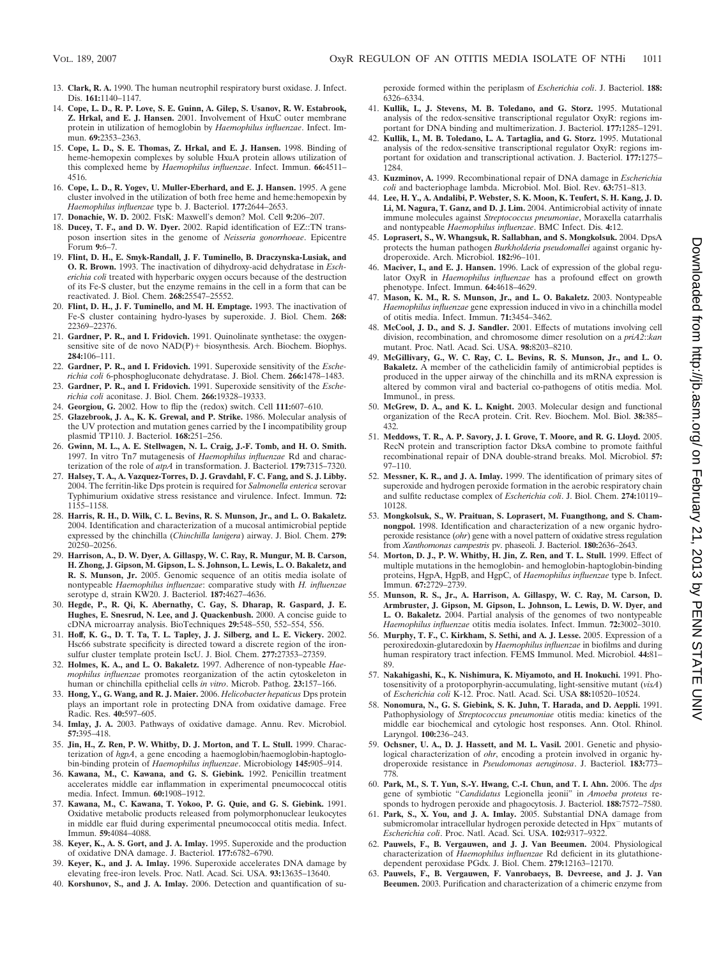- 13. **Clark, R. A.** 1990. The human neutrophil respiratory burst oxidase. J. Infect. Dis. **161:**1140–1147.
- 14. **Cope, L. D., R. P. Love, S. E. Guinn, A. Gilep, S. Usanov, R. W. Estabrook, Z. Hrkal, and E. J. Hansen.** 2001. Involvement of HxuC outer membrane protein in utilization of hemoglobin by *Haemophilus influenzae*. Infect. Immun. **69:**2353–2363.
- 15. **Cope, L. D., S. E. Thomas, Z. Hrkal, and E. J. Hansen.** 1998. Binding of heme-hemopexin complexes by soluble HxuA protein allows utilization of this complexed heme by *Haemophilus influenzae*. Infect. Immun. **66:**4511– 4516.
- 16. **Cope, L. D., R. Yogev, U. Muller-Eberhard, and E. J. Hansen.** 1995. A gene cluster involved in the utilization of both free heme and heme:hemopexin by *Haemophilus influenzae* type b. J. Bacteriol. **177:**2644–2653.
- 17. **Donachie, W. D.** 2002. FtsK: Maxwell's demon? Mol. Cell **9:**206–207.
- 18. **Ducey, T. F., and D. W. Dyer.** 2002. Rapid identification of EZ::TN transposon insertion sites in the genome of *Neisseria gonorrhoeae*. Epicentre Forum **9:**6–7.
- 19. **Flint, D. H., E. Smyk-Randall, J. F. Tuminello, B. Draczynska-Lusiak, and O. R. Brown.** 1993. The inactivation of dihydroxy-acid dehydratase in *Escherichia coli* treated with hyperbaric oxygen occurs because of the destruction of its Fe-S cluster, but the enzyme remains in the cell in a form that can be reactivated. J. Biol. Chem. **268:**25547–25552.
- 20. **Flint, D. H., J. F. Tuminello, and M. H. Emptage.** 1993. The inactivation of Fe-S cluster containing hydro-lyases by superoxide. J. Biol. Chem. **268:** 22369–22376.
- 21. **Gardner, P. R., and I. Fridovich.** 1991. Quinolinate synthetase: the oxygensensitive site of de novo  $NAD(P)$  biosynthesis. Arch. Biochem. Biophys. **284:**106–111.
- 22. **Gardner, P. R., and I. Fridovich.** 1991. Superoxide sensitivity of the *Escherichia coli* 6-phosphogluconate dehydratase. J. Biol. Chem. **266:**1478–1483.
- 23. **Gardner, P. R., and I. Fridovich.** 1991. Superoxide sensitivity of the *Escherichia coli* aconitase. J. Biol. Chem. **266:**19328–19333.
- 24. **Georgiou, G.** 2002. How to flip the (redox) switch. Cell **111:**607–610.
- 25. **Glazebrook, J. A., K. K. Grewal, and P. Strike.** 1986. Molecular analysis of the UV protection and mutation genes carried by the I incompatibility group plasmid TP110. J. Bacteriol. **168:**251–256.
- 26. **Gwinn, M. L., A. E. Stellwagen, N. L. Craig, J.-F. Tomb, and H. O. Smith.** 1997. In vitro Tn*7* mutagenesis of *Haemophilus influenzae* Rd and characterization of the role of *atpA* in transformation. J. Bacteriol. **179:**7315–7320.
- 27. **Halsey, T. A., A. Vazquez-Torres, D. J. Gravdahl, F. C. Fang, and S. J. Libby.** 2004. The ferritin-like Dps protein is required for *Salmonella enterica* serovar Typhimurium oxidative stress resistance and virulence. Infect. Immun. **72:** 1155–1158.
- 28. **Harris, R. H., D. Wilk, C. L. Bevins, R. S. Munson, Jr., and L. O. Bakaletz.** 2004. Identification and characterization of a mucosal antimicrobial peptide expressed by the chinchilla (*Chinchilla lanigera*) airway. J. Biol. Chem. **279:** 20250–20256.
- 29. **Harrison, A., D. W. Dyer, A. Gillaspy, W. C. Ray, R. Mungur, M. B. Carson, H. Zhong, J. Gipson, M. Gipson, L. S. Johnson, L. Lewis, L. O. Bakaletz, and R. S. Munson, Jr.** 2005. Genomic sequence of an otitis media isolate of nontypeable *Haemophilus influenzae*: comparative study with *H. influenzae* serotype d, strain KW20. J. Bacteriol. **187:**4627–4636.
- 30. **Hegde, P., R. Qi, K. Abernathy, C. Gay, S. Dharap, R. Gaspard, J. E. Hughes, E. Snesrud, N. Lee, and J. Quackenbush.** 2000. A concise guide to cDNA microarray analysis. BioTechniques **29:**548–550, 552–554, 556.
- 31. **Hoff, K. G., D. T. Ta, T. L. Tapley, J. J. Silberg, and L. E. Vickery.** 2002. Hsc66 substrate specificity is directed toward a discrete region of the ironsulfur cluster template protein IscU. J. Biol. Chem. **277:**27353–27359.
- 32. **Holmes, K. A., and L. O. Bakaletz.** 1997. Adherence of non-typeable *Haemophilus influenzae* promotes reorganization of the actin cytoskeleton in human or chinchilla epithelial cells *in vitro*. Microb. Pathog. **23:**157–166.
- 33. **Hong, Y., G. Wang, and R. J. Maier.** 2006. *Helicobacter hepaticus* Dps protein plays an important role in protecting DNA from oxidative damage. Free Radic. Res. **40:**597–605.
- 34. **Imlay, J. A.** 2003. Pathways of oxidative damage. Annu. Rev. Microbiol. **57:**395–418.
- 35. **Jin, H., Z. Ren, P. W. Whitby, D. J. Morton, and T. L. Stull.** 1999. Characterization of *hgpA*, a gene encoding a haemoglobin/haemoglobin-haptoglobin-binding protein of *Haemophilus influenzae*. Microbiology **145:**905–914.
- 36. **Kawana, M., C. Kawana, and G. S. Giebink.** 1992. Penicillin treatment accelerates middle ear inflammation in experimental pneumococcal otitis media. Infect. Immun. **60:**1908–1912.
- 37. **Kawana, M., C. Kawana, T. Yokoo, P. G. Quie, and G. S. Giebink.** 1991. Oxidative metabolic products released from polymorphonuclear leukocytes in middle ear fluid during experimental pneumococcal otitis media. Infect. Immun. **59:**4084–4088.
- 38. **Keyer, K., A. S. Gort, and J. A. Imlay.** 1995. Superoxide and the production of oxidative DNA damage. J. Bacteriol. **177:**6782–6790.
- 39. **Keyer, K., and J. A. Imlay.** 1996. Superoxide accelerates DNA damage by elevating free-iron levels. Proc. Natl. Acad. Sci. USA. **93:**13635–13640.
- 40. **Korshunov, S., and J. A. Imlay.** 2006. Detection and quantification of su-

peroxide formed within the periplasm of *Escherichia coli*. J. Bacteriol. **188:** 6326–6334.

- 41. **Kullik, I., J. Stevens, M. B. Toledano, and G. Storz.** 1995. Mutational analysis of the redox-sensitive transcriptional regulator OxyR: regions important for DNA binding and multimerization. J. Bacteriol. **177:**1285–1291.
- 42. **Kullik, I., M. B. Toledano, L. A. Tartaglia, and G. Storz.** 1995. Mutational analysis of the redox-sensitive transcriptional regulator OxyR: regions important for oxidation and transcriptional activation. J. Bacteriol. **177:**1275– 1284.
- 43. **Kuzminov, A.** 1999. Recombinational repair of DNA damage in *Escherichia coli* and bacteriophage lambda. Microbiol. Mol. Biol. Rev. **63:**751–813.
- 44. **Lee, H. Y., A. Andalibi, P. Webster, S. K. Moon, K. Teufert, S. H. Kang, J. D. Li, M. Nagura, T. Ganz, and D. J. Lim.** 2004. Antimicrobial activity of innate immune molecules against *Streptococcus pneumoniae*, Moraxella catarrhalis and nontypeable *Haemophilus influenzae*. BMC Infect. Dis. **4:**12.
- 45. **Loprasert, S., W. Whangsuk, R. Sallabhan, and S. Mongkolsuk.** 2004. DpsA protects the human pathogen *Burkholderia pseudomallei* against organic hydroperoxide. Arch. Microbiol. **182:**96–101.
- 46. **Maciver, I., and E. J. Hansen.** 1996. Lack of expression of the global regulator OxyR in *Haemophilus influenzae* has a profound effect on growth phenotype. Infect. Immun. **64:**4618–4629.
- 47. **Mason, K. M., R. S. Munson, Jr., and L. O. Bakaletz.** 2003. Nontypeable *Haemophilus influenzae* gene expression induced in vivo in a chinchilla model of otitis media. Infect. Immun. **71:**3454–3462.
- 48. **McCool, J. D., and S. J. Sandler.** 2001. Effects of mutations involving cell division, recombination, and chromosome dimer resolution on a *priA2*::*kan* mutant. Proc. Natl. Acad. Sci. USA. **98:**8203–8210.
- 49. **McGillivary, G., W. C. Ray, C. L. Bevins, R. S. Munson, Jr., and L. O. Bakaletz.** A member of the cathelicidin family of antimicrobial peptides is produced in the upper airway of the chinchilla and its mRNA expression is altered by common viral and bacterial co-pathogens of otitis media. Mol. Immunol., in press.
- 50. **McGrew, D. A., and K. L. Knight.** 2003. Molecular design and functional organization of the RecA protein. Crit. Rev. Biochem. Mol. Biol. **38:**385– 432.
- 51. **Meddows, T. R., A. P. Savory, J. I. Grove, T. Moore, and R. G. Lloyd.** 2005. RecN protein and transcription factor DksA combine to promote faithful recombinational repair of DNA double-strand breaks. Mol. Microbiol. **57:** 97–110.
- 52. **Messner, K. R., and J. A. Imlay.** 1999. The identification of primary sites of superoxide and hydrogen peroxide formation in the aerobic respiratory chain and sulfite reductase complex of *Escherichia coli*. J. Biol. Chem. **274:**10119– 10128.
- 53. **Mongkolsuk, S., W. Praituan, S. Loprasert, M. Fuangthong, and S. Chamnongpol.** 1998. Identification and characterization of a new organic hydroperoxide resistance (*ohr*) gene with a novel pattern of oxidative stress regulation from *Xanthomonas campestris* pv. phaseoli. J. Bacteriol. **180:**2636–2643.
- 54. **Morton, D. J., P. W. Whitby, H. Jin, Z. Ren, and T. L. Stull.** 1999. Effect of multiple mutations in the hemoglobin- and hemoglobin-haptoglobin-binding proteins, HgpA, HgpB, and HgpC, of *Haemophilus influenzae* type b. Infect. Immun. **67:**2729–2739.
- 55. **Munson, R. S., Jr., A. Harrison, A. Gillaspy, W. C. Ray, M. Carson, D. Armbruster, J. Gipson, M. Gipson, L. Johnson, L. Lewis, D. W. Dyer, and L. O. Bakaletz.** 2004. Partial analysis of the genomes of two nontypeable *Haemophilus influenzae* otitis media isolates. Infect. Immun. **72:**3002–3010.
- 56. **Murphy, T. F., C. Kirkham, S. Sethi, and A. J. Lesse.** 2005. Expression of a peroxiredoxin-glutaredoxin by *Haemophilus influenzae* in biofilms and during human respiratory tract infection. FEMS Immunol. Med. Microbiol. **44:**81– 89.
- 57. **Nakahigashi, K., K. Nishimura, K. Miyamoto, and H. Inokuchi.** 1991. Photosensitivity of a protoporphyrin-accumulating, light-sensitive mutant (*visA*) of *Escherichia coli* K-12. Proc. Natl. Acad. Sci. USA **88:**10520–10524.
- 58. **Nonomura, N., G. S. Giebink, S. K. Juhn, T. Harada, and D. Aeppli.** 1991. Pathophysiology of *Streptococcus pneumoniae* otitis media: kinetics of the middle ear biochemical and cytologic host responses. Ann. Otol. Rhinol. Laryngol. **100:**236–243.
- 59. **Ochsner, U. A., D. J. Hassett, and M. L. Vasil.** 2001. Genetic and physiological characterization of *ohr*, encoding a protein involved in organic hydroperoxide resistance in *Pseudomonas aeruginosa*. J. Bacteriol. **183:**773– 778.
- 60. **Park, M., S. T. Yun, S.-Y. Hwang, C.-I. Chun, and T. I. Ahn.** 2006. The *dps* gene of symbiotic "*Candidatus* Legionella jeonii" in *Amoeba proteus* responds to hydrogen peroxide and phagocytosis. J. Bacteriol. **188:**7572–7580.
- 61. **Park, S., X. You, and J. A. Imlay.** 2005. Substantial DNA damage from submicromolar intracellular hydrogen peroxide detected in Hpx<sup>-</sup> mutants of *Escherichia coli*. Proc. Natl. Acad. Sci. USA. **102:**9317–9322.
- 62. **Pauwels, F., B. Vergauwen, and J. J. Van Beeumen.** 2004. Physiological characterization of *Haemophilus influenzae* Rd deficient in its glutathionedependent peroxidase PGdx. J. Biol. Chem. **279:**12163–12170.
- 63. **Pauwels, F., B. Vergauwen, F. Vanrobaeys, B. Devreese, and J. J. Van Beeumen.** 2003. Purification and characterization of a chimeric enzyme from